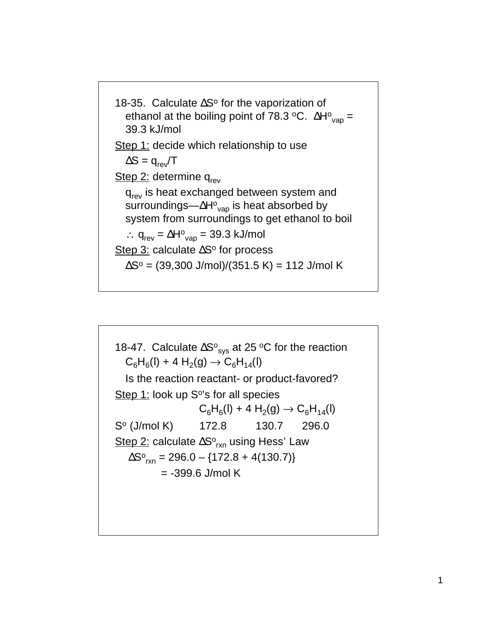

18-47. Calculate  $\Delta S^{\circ}_{sys}$  at 25 °C for the reaction  $C_6H_6(I) + 4H_2(g) \rightarrow C_6H_{14}(I)$ Is the reaction reactant- or product-favored? Step  $1$ : look up S°'s for all species  $C_6H_6(I) + 4 H_2(g) \rightarrow C_6H_{14}(I)$ S<sup>o</sup> (J/mol K) 172.8 130.7 296.0 <u>Step 2:</u> calculate ΔSº<sub>rxn</sub> using Hess' Law  $\Delta S^{\circ}$ <sub>rxn</sub> = 296.0 – {172.8 + 4(130.7)} = -399.6 J/mol K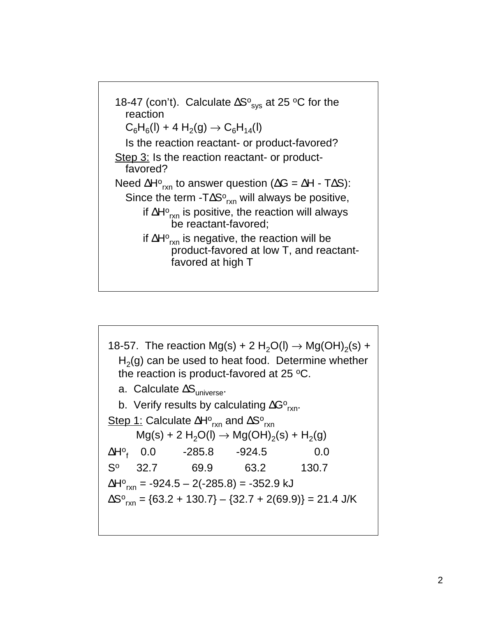

18-57. The reaction Mg(s) + 2 H<sub>2</sub>O(l)  $\rightarrow$  Mg(OH)<sub>2</sub>(s) +  $H<sub>2</sub>(g)$  can be used to heat food. Determine whether the reaction is product-favored at  $25 \text{ °C}$ . a. Calculate  $\Delta S_{\text{universe}}$ . b. Verify results by calculating  $\Delta G^{\circ}_{rxn}$ . Step 1: Calculate ΔΗº<sub>rxn</sub> and ΔSº<sub>rxn</sub>  $Mg(s) + 2 H<sub>2</sub>O(l) \rightarrow Mg(OH)<sub>2</sub>(s) + H<sub>2</sub>(g)$ ∆Hº<sub>f</sub> 0.0 -285.8 -924.5 0.0 S<sup>o</sup> 32.7 69.9 63.2 130.7 ∆H°<sub>rxn</sub> = -924.5 – 2(-285.8) = -352.9 kJ  $\Delta S^{\circ}{}_{\mathsf{rxn}} = \{63.2 + 130.7\} - \{32.7 + 2(69.9)\} = 21.4 \text{ J/K}$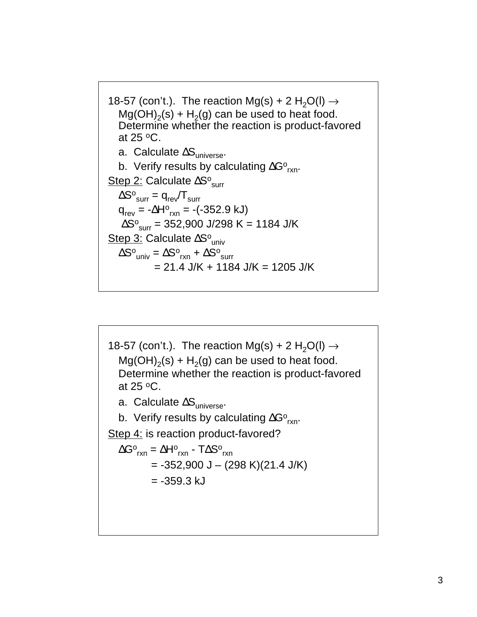18-57 (con't.). The reaction Mg(s) + 2 H<sub>2</sub>O(I)  $\rightarrow$  $Mg(OH)<sub>2</sub>(s) + H<sub>2</sub>(g)$  can be used to heat food. Determine whether the reaction is product-favored at 25 $\,^{\circ}$ C. a. Calculate  $\Delta S_{\text{universe}}$ . b. Verify results by calculating  $\Delta G^{\circ}_{rxn}$ . Step 2: Calculate ΔS<sup>o</sup><sub>surr</sub>  $\Delta S^{\rm o}_{\rm{surr}} = \mathsf{q}_{\rm{rev}}/\mathsf{T}_{\rm{surr}}$  $q_{rev} = -\Delta H^{\circ}_{rxn} = -(-352.9 \text{ kJ})$ AS∘<sub>surr</sub> = 352,900 J/298 K = 1184 J/K Step 3: Calculate ΔS<sup>o</sup><sub>univ</sub>  $\Delta S^{\circ}_{univ} = \Delta S^{\circ}_{rxn} + \Delta S^{\circ}_{surr}$  $= 21.4$  J/K + 1184 J/K = 1205 J/K

18-57 (con't.). The reaction Mg(s) + 2 H<sub>2</sub>O(I)  $\rightarrow$  $Mg(OH)<sub>2</sub>(s) + H<sub>2</sub>(g)$  can be used to heat food. Determine whether the reaction is product-favored at  $25 \, \text{°C}$ . a. Calculate  $\Delta S_{\text{universe}}$ . b. Verify results by calculating  $\Delta G^{\circ}_{rxn}$ . Step 4: is reaction product-favored?  $\Delta G^{\circ}{}_{\mathsf{rxn}} = \Delta H^{\circ}{}_{\mathsf{rxn}}$  - T $\Delta S^{\circ}{}_{\mathsf{rxn}}$  $= -352,900$  J – (298 K)(21.4 J/K)  $= -359.3$  kJ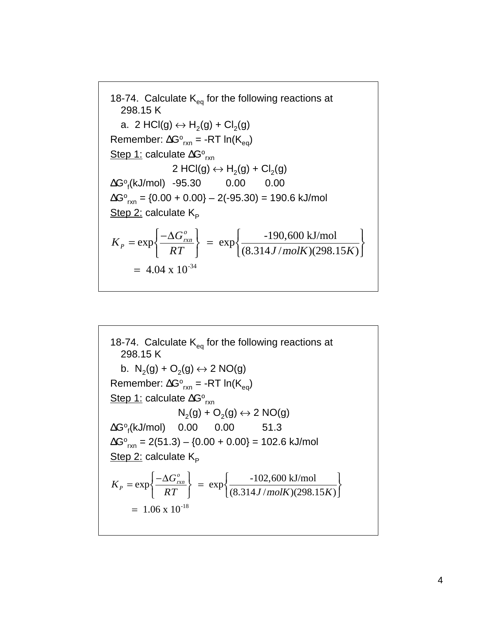18-74. Calculate  $K_{eq}$  for the following reactions at 298.15 K a. 2 HCl(g)  $\leftrightarrow$  H<sub>2</sub>(g) + Cl<sub>2</sub>(g) Remember:  $\Delta G^{\circ}{}_{rxn}$  = -RT ln(K<sub>eq</sub>) Step 1: calculate ΔGº<sub>rxn</sub> 2 HCl(g)  $\leftrightarrow$  H<sub>2</sub>(g) + Cl<sub>2</sub>(g) Go f (kJ/mol) -95.30 0.00 0.00  $\Delta G^{\circ}_{\text{rxn}} = \{0.00 + 0.00\} - 2(\text{-95.30}) = 190.6 \text{ kJ/mol}$ Step 2: calculate  $K_{\rm p}$  $K_P$  = exp  $-\Delta G_{\rm rxn}^o$  $\left\{\frac{-\Delta G_{_{\!}^{c}}}{RT}\right\}$  $=$  exp -190,600 kJ/mol  $\left\{\frac{-190,600 \text{ kJ/mol}}{(8.314 \text{ J/molK})(298.15 \text{ K})}\right\}$  $= 4.04 \times 10^{-34}$ 

18-74. Calculate  $K_{eq}$  for the following reactions at 298.15 K b.  $N_2(q) + O_2(q) \leftrightarrow 2 \text{ NO}(q)$ Remember:  $\Delta G^{\circ}{}_{rxn}$  = -RT ln(K<sub>eq</sub>) Step 1: calculate ΔG°<sub>rxn</sub>  $N_2(g) + O_2(g) \leftrightarrow 2 \text{ NO}(g)$  $\Delta G^{\circ}_{\mathsf{f}}(\mathsf{kJ/mol})$  0.00 0.00 51.3  $\Delta G^{\circ}_{\text{rxn}} = 2(51.3) - (0.00 + 0.00) = 102.6 \text{ kJ/mol}$ Step  $2$ : calculate  $K_{p}$  $K_p = \exp\left\{\frac{-\Delta G_{rxn}^o}{2\pi}\right\}$  $\left\{\frac{-\Delta G_{_{\!}^{c}}}{RT}\right\}$  $=$  exp $\frac{-102,600 \text{ kJ/mol}}{60.21 \text{ kJ/mol}}$  $\left\{\frac{-102,600 \text{ kJ/mol}}{(8.314 \text{ J/molK})(298.15 \text{ K})}\right\}$  $= 1.06 \times 10^{-18}$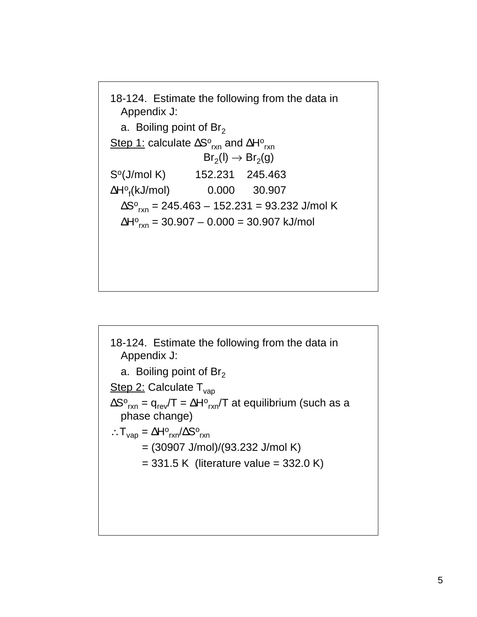18-124. Estimate the following from the data in Appendix J: a. Boiling point of  $Br<sub>2</sub>$ Step 1: calculate ΔSº<sub>rxn</sub> and ΔHº<sub>rxn</sub>  $Br_2(I) \rightarrow Br_2(g)$ So(J/mol K) 152.231 245.463 **∆**H∘<sub>f</sub>(kJ/mol) 0.000 30.907 ∆S∘<sub>rxn</sub> = 245.463 – 152.231 = 93.232 J/mol K ∆H∘<sub>rxn</sub> = 30.907 – 0.000 = 30.907 kJ/mol

18-124. Estimate the following from the data in Appendix J: a. Boiling point of  $Br<sub>2</sub>$ Step 2: Calculate  $T_{vap}$  $\Delta S^{\rm o}{}_{\sf rxn}$  =  $\sf q_{\sf rev}/T$  =  $\Delta H^{\rm o}{}_{\sf rxn}/T$  at equilibrium (such as a phase change) ∴ $T_{vap} = \Delta H^o_{rxn}/\Delta S^o_{rxn}$  = (30907 J/mol)/(93.232 J/mol K)  $= 331.5$  K (literature value  $= 332.0$  K)